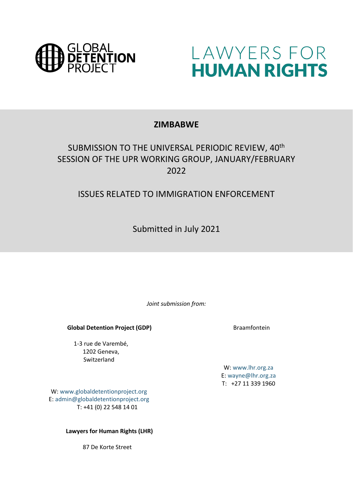



### **ZIMBABWE**

# SUBMISSION TO THE UNIVERSAL PERIODIC REVIEW, 40<sup>th</sup> SESSION OF THE UPR WORKING GROUP, JANUARY/FEBRUARY 2022

## ISSUES RELATED TO IMMIGRATION ENFORCEMENT

Submitted in July 2021

*Joint submission from:*

**Global Detention Project (GDP)**

1-3 rue de Varembé, 1202 Geneva, Switzerland

Braamfontein

W: [www.lhr.org.za](http://www.lhr.org.za/) E: [wayne@lhr.org.za](mailto:wayne@lhr.org.za) T: +27 11 339 1960

W: [www.globaldetentionproject.org](http://www.globaldetentionproject.org/) E: [admin@globaldetentionproject.org](mailto:admin@globaldetentionproject.org) T: +41 (0) 22 548 14 01

**Lawyers for Human Rights (LHR)**

87 De Korte Street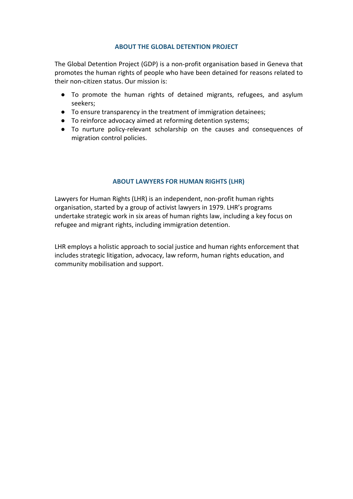#### **ABOUT THE GLOBAL DETENTION PROJECT**

The Global Detention Project (GDP) is a non-profit organisation based in Geneva that promotes the human rights of people who have been detained for reasons related to their non-citizen status. Our mission is:

- To promote the human rights of detained migrants, refugees, and asylum seekers;
- To ensure transparency in the treatment of immigration detainees;
- To reinforce advocacy aimed at reforming detention systems;
- To nurture policy-relevant scholarship on the causes and consequences of migration control policies.

### **ABOUT LAWYERS FOR HUMAN RIGHTS (LHR)**

Lawyers for Human Rights (LHR) is an independent, non-profit human rights organisation, started by a group of activist lawyers in 1979. LHR's programs undertake strategic work in six areas of human rights law, including a key focus on refugee and migrant rights, including immigration detention.

LHR employs a holistic approach to social justice and human rights enforcement that includes strategic litigation, advocacy, law reform, human rights education, and community mobilisation and support.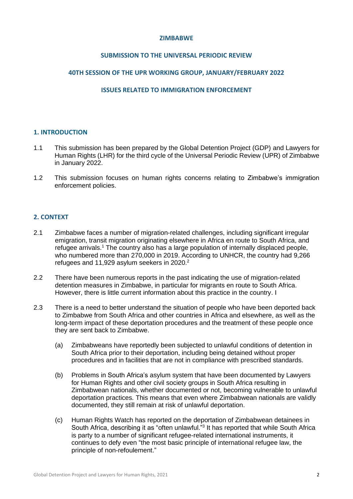#### **ZIMBABWE**

#### **SUBMISSION TO THE UNIVERSAL PERIODIC REVIEW**

#### **40TH SESSION OF THE UPR WORKING GROUP, JANUARY/FEBRUARY 2022**

#### **ISSUES RELATED TO IMMIGRATION ENFORCEMENT**

#### **1. INTRODUCTION**

- 1.1 This submission has been prepared by the Global Detention Project (GDP) and Lawyers for Human Rights (LHR) for the third cycle of the Universal Periodic Review (UPR) of Zimbabwe in January 2022.
- 1.2 This submission focuses on human rights concerns relating to Zimbabwe's immigration enforcement policies.

#### **2. CONTEXT**

- 2.1 Zimbabwe faces a number of migration-related challenges, including significant irregular emigration, transit migration originating elsewhere in Africa en route to South Africa, and refugee arrivals.<sup>1</sup> The country also has a large population of internally displaced people, who numbered more than 270,000 in 2019. According to UNHCR, the country had 9,266 refugees and 11,929 asylum seekers in 2020.<sup>2</sup>
- 2.2 There have been numerous reports in the past indicating the use of migration-related detention measures in Zimbabwe, in particular for migrants en route to South Africa. However, there is little current information about this practice in the country. I
- 2.3 There is a need to better understand the situation of people who have been deported back to Zimbabwe from South Africa and other countries in Africa and elsewhere, as well as the long-term impact of these deportation procedures and the treatment of these people once they are sent back to Zimbabwe.
	- (a) Zimbabweans have reportedly been subjected to unlawful conditions of detention in South Africa prior to their deportation, including being detained without proper procedures and in facilities that are not in compliance with prescribed standards.
	- (b) Problems in South Africa's asylum system that have been documented by Lawyers for Human Rights and other civil society groups in South Africa resulting in Zimbabwean nationals, whether documented or not, becoming vulnerable to unlawful deportation practices. This means that even where Zimbabwean nationals are validly documented, they still remain at risk of unlawful deportation.
	- (c) Human Rights Watch has reported on the deportation of Zimbabwean detainees in South Africa, describing it as "often unlawful."<sup>3</sup> It has reported that while South Africa is party to a number of significant refugee-related international instruments, it continues to defy even "the most basic principle of international refugee law, the principle of non-refoulement."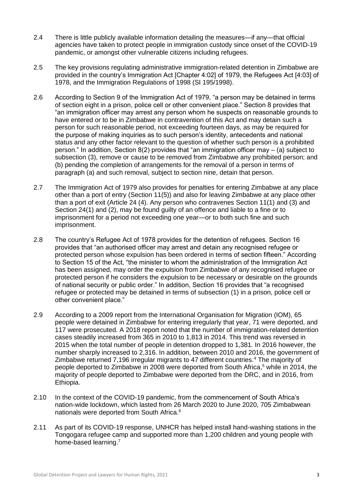- 2.4 There is little publicly available information detailing the measures—if any—that official agencies have taken to protect people in immigration custody since onset of the COVID-19 pandemic, or amongst other vulnerable citizens including refugees.
- 2.5 The key provisions regulating administrative immigration-related detention in Zimbabwe are provided in the country's Immigration Act [Chapter 4:02] of 1979, the Refugees Act [4:03] of 1978, and the Immigration Regulations of 1998 (SI 195/1998).
- 2.6 According to Section 9 of the Immigration Act of 1979, "a person may be detained in terms of section eight in a prison, police cell or other convenient place." Section 8 provides that "an immigration officer may arrest any person whom he suspects on reasonable grounds to have entered or to be in Zimbabwe in contravention of this Act and may detain such a person for such reasonable period, not exceeding fourteen days, as may be required for the purpose of making inquiries as to such person's identity, antecedents and national status and any other factor relevant to the question of whether such person is a prohibited person." In addition, Section 8(2) provides that "an immigration officer may – (a) subject to subsection (3), remove or cause to be removed from Zimbabwe any prohibited person; and (b) pending the completion of arrangements for the removal of a person in terms of paragraph (a) and such removal, subject to section nine, detain that person.
- 2.7 The Immigration Act of 1979 also provides for penalties for entering Zimbabwe at any place other than a port of entry (Section 11(5)) and also for leaving Zimbabwe at any place other than a port of exit (Article 24 (4). Any person who contravenes Section 11(1) and (3) and Section 24(1) and (2), may be found guilty of an offence and liable to a fine or to imprisonment for a period not exceeding one year—or to both such fine and such imprisonment.
- 2.8 The country's Refugee Act of 1978 provides for the detention of refugees. Section 16 provides that "an authorised officer may arrest and detain any recognised refugee or protected person whose expulsion has been ordered in terms of section fifteen." According to Section 15 of the Act, "the minister to whom the administration of the Immigration Act has been assigned, may order the expulsion from Zimbabwe of any recognised refugee or protected person if he considers the expulsion to be necessary or desirable on the grounds of national security or public order." In addition, Section 16 provides that "a recognised refugee or protected may be detained in terms of subsection (1) in a prison, police cell or other convenient place."
- 2.9 According to a 2009 report from the International Organisation for Migration (IOM), 65 people were detained in Zimbabwe for entering irregularly that year, 71 were deported, and 117 were prosecuted. A 2018 report noted that the number of immigration-related detention cases steadily increased from 365 in 2010 to 1,813 in 2014. This trend was reversed in 2015 when the total number of people in detention dropped to 1,381. In 2016 however, the number sharply increased to 2,316. In addition, between 2010 and 2016, the government of Zimbabwe returned 7,196 irregular migrants to 47 different countries.<sup>4</sup> The majority of people deported to Zimbabwe in 2008 were deported from South Africa, <sup>5</sup> while in 2014, the majority of people deported to Zimbabwe were deported from the DRC, and in 2016, from Ethiopia.
- 2.10 In the context of the COVID-19 pandemic, from the commencement of South Africa's nation-wide lockdown, which lasted from 26 March 2020 to June 2020, 705 Zimbabwean nationals were deported from South Africa.<sup>6</sup>
- 2.11 As part of its COVID-19 response, UNHCR has helped install hand-washing stations in the Tongogara refugee camp and supported more than 1,200 children and young people with home-based learning.7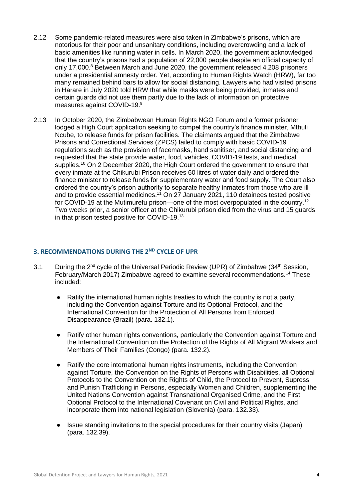- 2.12 Some pandemic-related measures were also taken in Zimbabwe's prisons, which are notorious for their poor and unsanitary conditions, including overcrowding and a lack of basic amenities like running water in cells. In March 2020, the government acknowledged that the country's prisons had a population of 22,000 people despite an official capacity of only 17,000.<sup>8</sup> Between March and June 2020, the government released 4,208 prisoners under a presidential amnesty order. Yet, according to Human Rights Watch (HRW), far too many remained behind bars to allow for social distancing. Lawyers who had visited prisons in Harare in July 2020 told HRW that while masks were being provided, inmates and certain guards did not use them partly due to the lack of information on protective measures against COVID-19.<sup>9</sup>
- 2.13 In October 2020, the Zimbabwean Human Rights NGO Forum and a former prisoner lodged a High Court application seeking to compel the country's finance minister, Mthuli Ncube, to release funds for prison facilities. The claimants argued that the Zimbabwe Prisons and Correctional Services (ZPCS) failed to comply with basic COVID-19 regulations such as the provision of facemasks, hand sanitiser, and social distancing and requested that the state provide water, food, vehicles, COVID-19 tests, and medical supplies.<sup>10</sup> On 2 December 2020, the High Court ordered the government to ensure that every inmate at the Chikurubi Prison receives 60 litres of water daily and ordered the finance minister to release funds for supplementary water and food supply. The Court also ordered the country's prison authority to separate healthy inmates from those who are ill and to provide essential medicines.<sup>11</sup> On 27 January 2021, 110 detainees tested positive for COVID-19 at the Mutimurefu prison—one of the most overpopulated in the country.<sup>12</sup> Two weeks prior, a senior officer at the Chikurubi prison died from the virus and 15 guards in that prison tested positive for COVID-19.<sup>13</sup>

#### **3. RECOMMENDATIONS DURING THE 2ND CYCLE OF UPR**

- 3.1 During the 2<sup>nd</sup> cycle of the Universal Periodic Review (UPR) of Zimbabwe (34<sup>th</sup> Session, February/March 2017) Zimbabwe agreed to examine several recommendations.<sup>14</sup> These included:
	- Ratify the international human rights treaties to which the country is not a party, including the Convention against Torture and its Optional Protocol, and the International Convention for the Protection of All Persons from Enforced Disappearance (Brazil) (para. 132.1).
	- Ratify other human rights conventions, particularly the Convention against Torture and the International Convention on the Protection of the Rights of All Migrant Workers and Members of Their Families (Congo) (para. 132.2).
	- Ratify the core international human rights instruments, including the Convention against Torture, the Convention on the Rights of Persons with Disabilities, all Optional Protocols to the Convention on the Rights of Child, the Protocol to Prevent, Supress and Punish Trafficking in Persons, especially Women and Children, supplementing the United Nations Convention against Transnational Organised Crime, and the First Optional Protocol to the International Covenant on Civil and Political Rights, and incorporate them into national legislation (Slovenia) (para. 132.33).
	- Issue standing invitations to the special procedures for their country visits (Japan) (para. 132.39).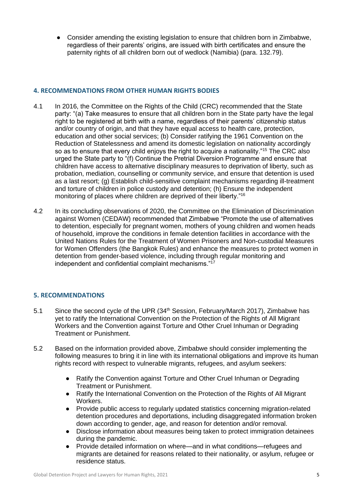● Consider amending the existing legislation to ensure that children born in Zimbabwe. regardless of their parents' origins, are issued with birth certificates and ensure the paternity rights of all children born out of wedlock (Namibia) (para. 132.79).

#### **4. RECOMMENDATIONS FROM OTHER HUMAN RIGHTS BODIES**

- 4.1 In 2016, the Committee on the Rights of the Child (CRC) recommended that the State party: "(a) Take measures to ensure that all children born in the State party have the legal right to be registered at birth with a name, regardless of their parents' citizenship status and/or country of origin, and that they have equal access to health care, protection, education and other social services; (b) Consider ratifying the 1961 Convention on the Reduction of Statelessness and amend its domestic legislation on nationality accordingly so as to ensure that every child enjoys the right to acquire a nationality."<sup>15</sup> The CRC also urged the State party to "(f) Continue the Pretrial Diversion Programme and ensure that children have access to alternative disciplinary measures to deprivation of liberty, such as probation, mediation, counselling or community service, and ensure that detention is used as a last resort; (g) Establish child-sensitive complaint mechanisms regarding ill-treatment and torture of children in police custody and detention; (h) Ensure the independent monitoring of places where children are deprived of their liberty."<sup>16</sup>
- 4.2 In its concluding observations of 2020, the Committee on the Elimination of Discrimination against Women (CEDAW) recommended that Zimbabwe "Promote the use of alternatives to detention, especially for pregnant women, mothers of young children and women heads of household, improve the conditions in female detention facilities in accordance with the United Nations Rules for the Treatment of Women Prisoners and Non-custodial Measures for Women Offenders (the Bangkok Rules) and enhance the measures to protect women in detention from gender-based violence, including through regular monitoring and independent and confidential complaint mechanisms."<sup>17</sup>

#### **5. RECOMMENDATIONS**

- 5.1 Since the second cycle of the UPR (34<sup>th</sup> Session, February/March 2017), Zimbabwe has yet to ratify the International Convention on the Protection of the Rights of All Migrant Workers and the Convention against Torture and Other Cruel Inhuman or Degrading Treatment or Punishment.
- 5.2 Based on the information provided above, Zimbabwe should consider implementing the following measures to bring it in line with its international obligations and improve its human rights record with respect to vulnerable migrants, refugees, and asylum seekers:
	- Ratify the Convention against Torture and Other Cruel Inhuman or Degrading Treatment or Punishment.
	- Ratify the International Convention on the Protection of the Rights of All Migrant Workers.
	- Provide public access to regularly updated statistics concerning migration-related detention procedures and deportations, including disaggregated information broken down according to gender, age, and reason for detention and/or removal.
	- Disclose information about measures being taken to protect immigration detainees during the pandemic.
	- Provide detailed information on where—and in what conditions—refugees and migrants are detained for reasons related to their nationality, or asylum, refugee or residence status.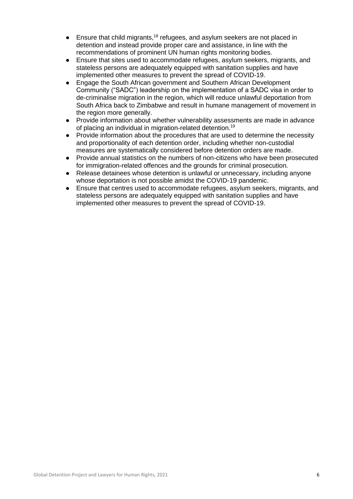- Ensure that child migrants,<sup>18</sup> refugees, and asylum seekers are not placed in detention and instead provide proper care and assistance, in line with the recommendations of prominent UN human rights monitoring bodies.
- Ensure that sites used to accommodate refugees, asylum seekers, migrants, and stateless persons are adequately equipped with sanitation supplies and have implemented other measures to prevent the spread of COVID-19.
- Engage the South African government and Southern African Development Community ("SADC") leadership on the implementation of a SADC visa in order to de-criminalise migration in the region, which will reduce unlawful deportation from South Africa back to Zimbabwe and result in humane management of movement in the region more generally.
- Provide information about whether vulnerability assessments are made in advance of placing an individual in migration-related detention.<sup>19</sup>
- Provide information about the procedures that are used to determine the necessity and proportionality of each detention order, including whether non-custodial measures are systematically considered before detention orders are made.
- Provide annual statistics on the numbers of non-citizens who have been prosecuted for immigration-related offences and the grounds for criminal prosecution.
- Release detainees whose detention is unlawful or unnecessary, including anyone whose deportation is not possible amidst the COVID-19 pandemic.
- Ensure that centres used to accommodate refugees, asylum seekers, migrants, and stateless persons are adequately equipped with sanitation supplies and have implemented other measures to prevent the spread of COVID-19.